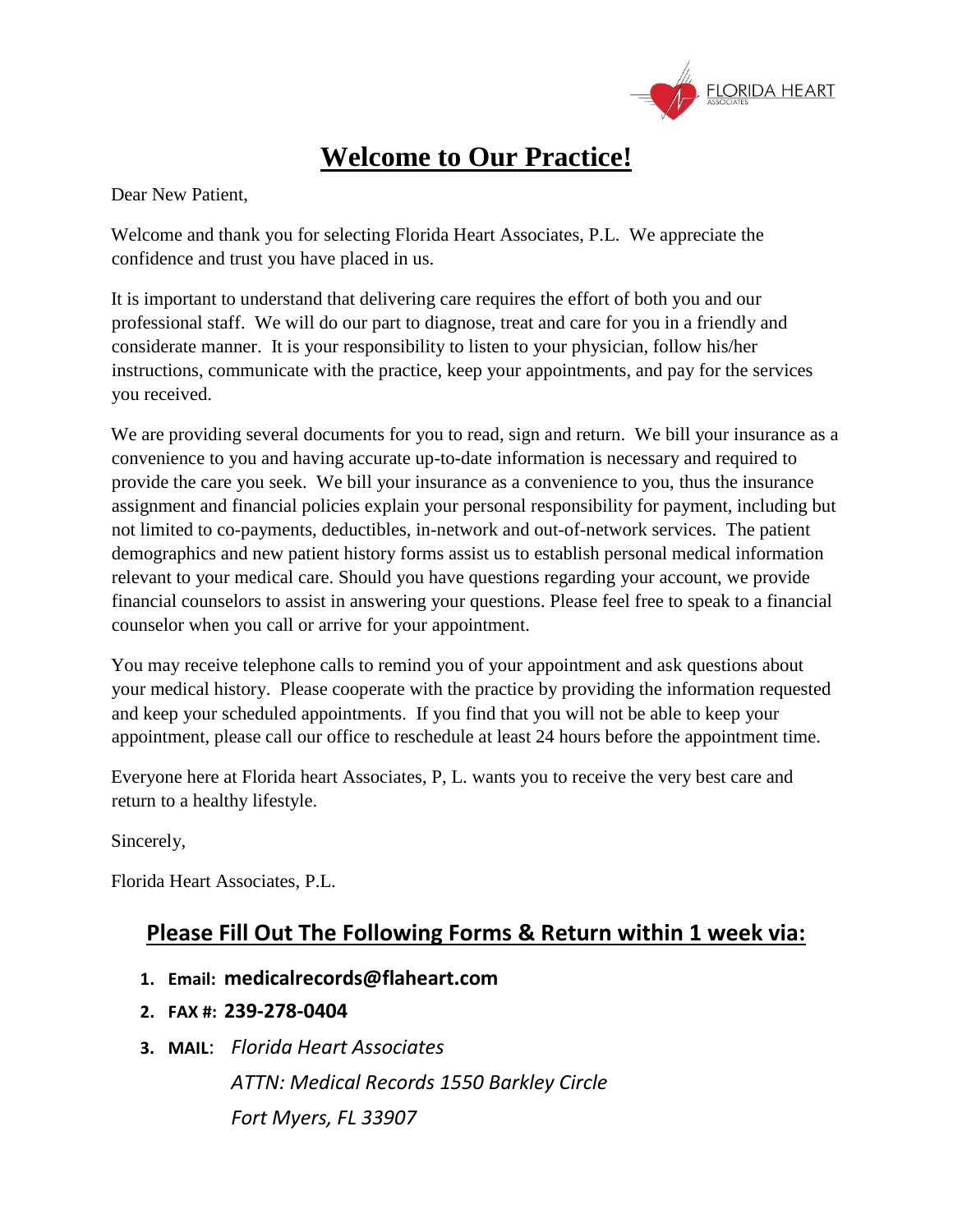

# **Welcome to Our Practice!**

Dear New Patient,

Welcome and thank you for selecting Florida Heart Associates, P.L. We appreciate the confidence and trust you have placed in us.

It is important to understand that delivering care requires the effort of both you and our professional staff. We will do our part to diagnose, treat and care for you in a friendly and considerate manner. It is your responsibility to listen to your physician, follow his/her instructions, communicate with the practice, keep your appointments, and pay for the services you received.

We are providing several documents for you to read, sign and return. We bill your insurance as a convenience to you and having accurate up-to-date information is necessary and required to provide the care you seek. We bill your insurance as a convenience to you, thus the insurance assignment and financial policies explain your personal responsibility for payment, including but not limited to co-payments, deductibles, in-network and out-of-network services. The patient demographics and new patient history forms assist us to establish personal medical information relevant to your medical care. Should you have questions regarding your account, we provide financial counselors to assist in answering your questions. Please feel free to speak to a financial counselor when you call or arrive for your appointment.

You may receive telephone calls to remind you of your appointment and ask questions about your medical history. Please cooperate with the practice by providing the information requested and keep your scheduled appointments. If you find that you will not be able to keep your appointment, please call our office to reschedule at least 24 hours before the appointment time.

Everyone here at Florida heart Associates, P, L. wants you to receive the very best care and return to a healthy lifestyle.

Sincerely,

Florida Heart Associates, P.L.

### **Please Fill Out The Following Forms & Return within 1 week via:**

- **1. Email: medicalrecords@flaheart.com**
- **2. FAX #: 239-278-0404**
- **3. MAIL**: *Florida Heart Associates ATTN: Medical Records 1550 Barkley Circle Fort Myers, FL 33907*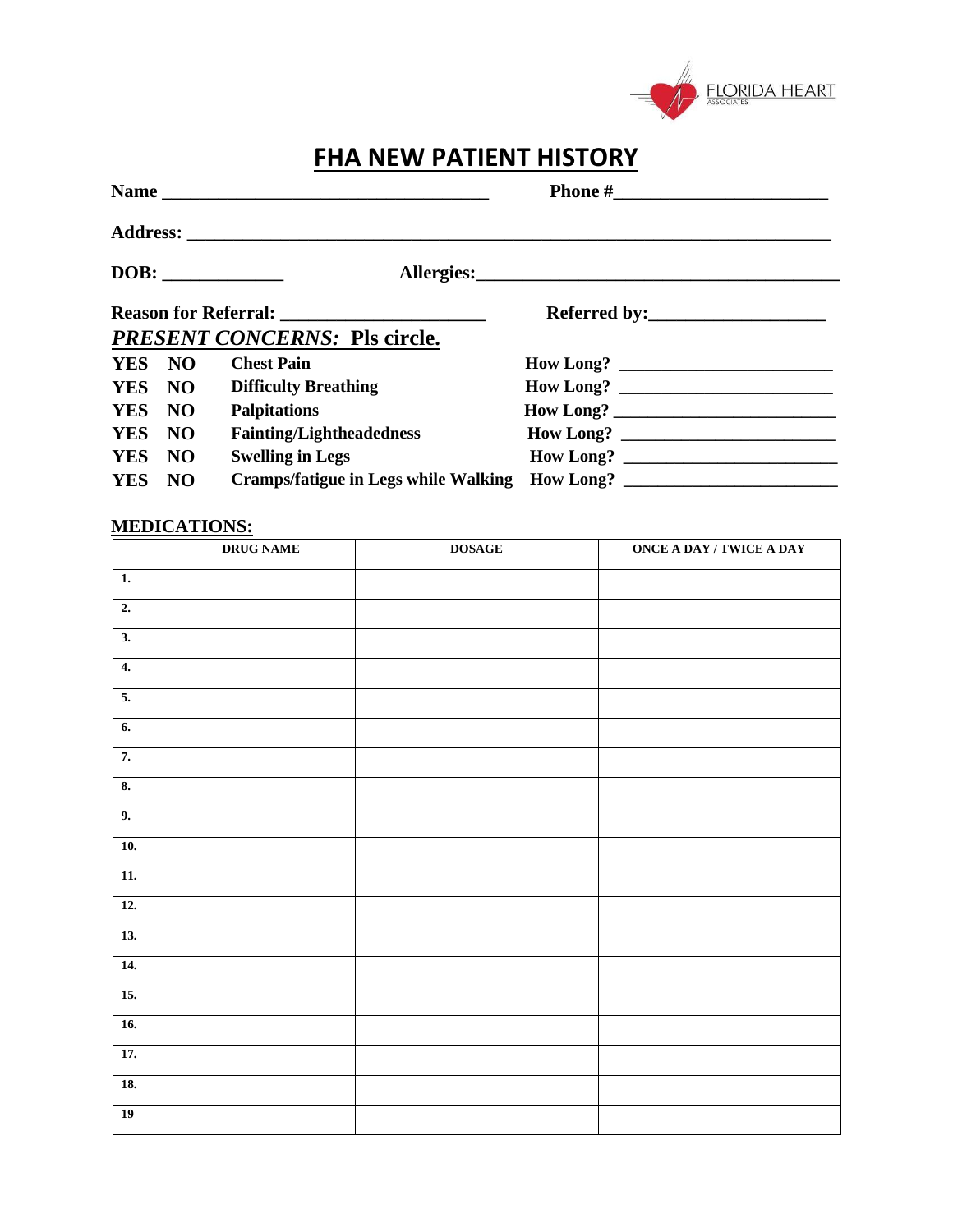

## **FHA NEW PATIENT HISTORY**

|            |     | <b>PRESENT CONCERNS: Pls circle.</b> |           |  |
|------------|-----|--------------------------------------|-----------|--|
| YES NO     |     | <b>Chest Pain</b>                    |           |  |
| YES NO     |     | <b>Difficulty Breathing</b>          |           |  |
| YES NO     |     | <b>Palpitations</b>                  |           |  |
| YES NO     |     | <b>Fainting/Lightheadedness</b>      | How Long? |  |
| <b>YES</b> | NO  | <b>Swelling in Legs</b>              | How Long? |  |
| <b>YES</b> | NO. | Cramps/fatigue in Legs while Walking | How Long? |  |

### **MEDICATIONS:**

| <b>DRUG NAME</b>   | $\mathbf{DOSAGE}$ | <b>ONCE A DAY / TWICE A DAY</b> |
|--------------------|-------------------|---------------------------------|
| $\mathbf{1}$ .     |                   |                                 |
| $\overline{2}$ .   |                   |                                 |
| $\overline{3}$ .   |                   |                                 |
| $\boldsymbol{4}$ . |                   |                                 |
| $\overline{5}$ .   |                   |                                 |
| 6.                 |                   |                                 |
| 7.                 |                   |                                 |
| 8.                 |                   |                                 |
| 9.                 |                   |                                 |
| 10.                |                   |                                 |
| $\overline{11}$ .  |                   |                                 |
| $\overline{12}$ .  |                   |                                 |
| 13.                |                   |                                 |
| 14.                |                   |                                 |
| $\overline{15}$ .  |                   |                                 |
| $\overline{16}$ .  |                   |                                 |
| 17.                |                   |                                 |
| 18.                |                   |                                 |
| $19$               |                   |                                 |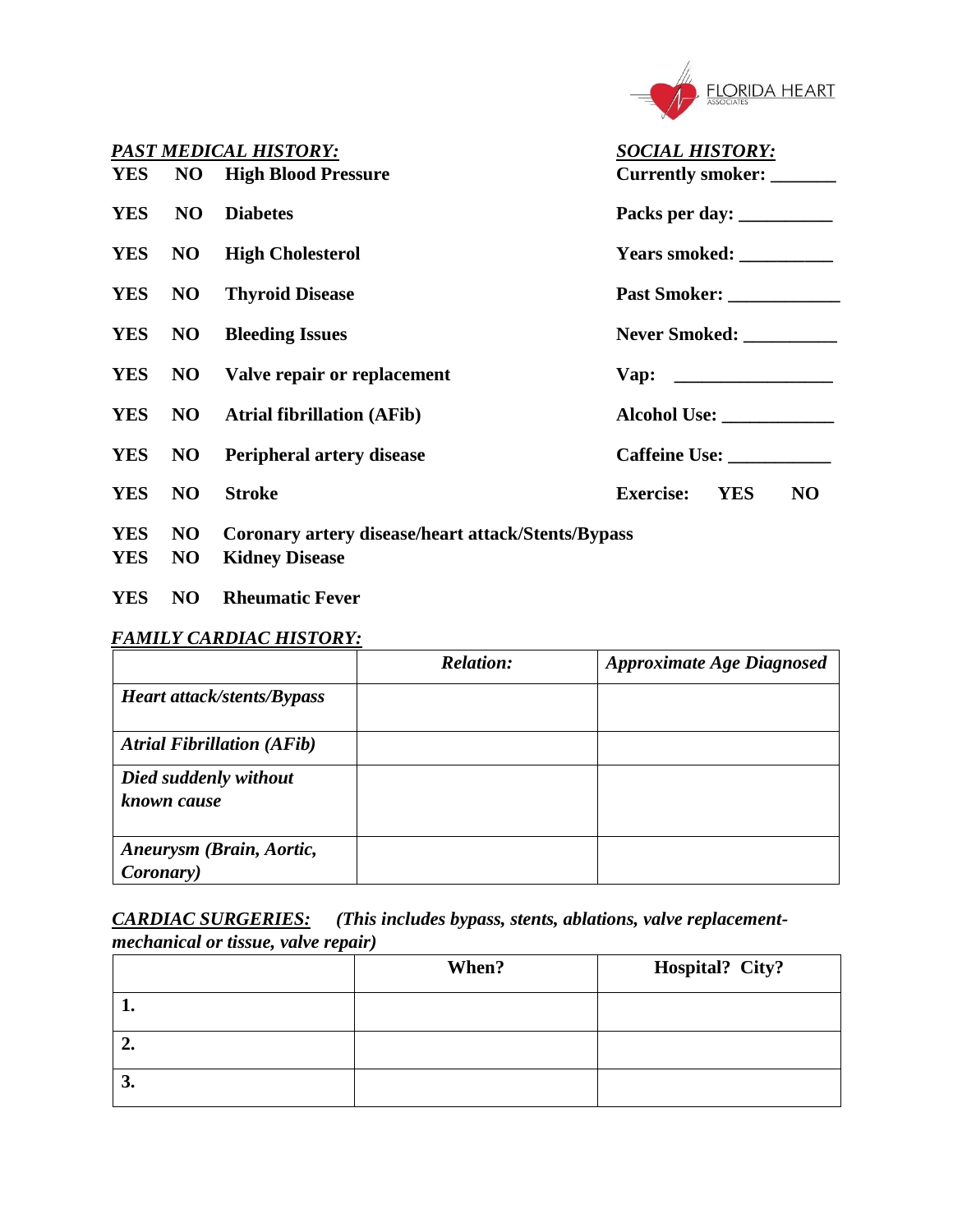

| <b>PAST MEDICAL HISTORY:</b><br><b>SOCIAL HISTORY:</b> |    |                                                    |                                                  |
|--------------------------------------------------------|----|----------------------------------------------------|--------------------------------------------------|
|                                                        |    | <b>YES</b> NO High Blood Pressure                  | Currently smoker: ______                         |
| <b>YES</b>                                             | NO | <b>Diabetes</b>                                    |                                                  |
|                                                        |    | <b>YES</b> NO High Cholesterol                     | Years smoked: ___________                        |
|                                                        |    | <b>YES</b> NO Thyroid Disease                      | Past Smoker: ____________                        |
|                                                        |    | <b>YES</b> NO Bleeding Issues                      | Never Smoked:                                    |
|                                                        |    | <b>YES</b> NO Valve repair or replacement          |                                                  |
|                                                        |    | <b>YES</b> NO Atrial fibrillation (AFib)           |                                                  |
|                                                        |    | <b>YES</b> NO Peripheral artery disease            | Caffeine Use:                                    |
| YES NO                                                 |    | <b>Stroke</b>                                      | <b>YES</b><br><b>Exercise:</b><br>N <sub>O</sub> |
| <b>YES</b>                                             | NO | Coronary artery disease/heart attack/Stents/Bypass |                                                  |

- **YES NO Kidney Disease**
- **YES NO Rheumatic Fever**

### *FAMILY CARDIAC HISTORY:*

|                                               | <b>Relation:</b> | <b>Approximate Age Diagnosed</b> |
|-----------------------------------------------|------------------|----------------------------------|
| Heart attack/stents/Bypass                    |                  |                                  |
| <b>Atrial Fibrillation (AFib)</b>             |                  |                                  |
| Died suddenly without<br>known cause          |                  |                                  |
| Aneurysm (Brain, Aortic,<br><i>Coronary</i> ) |                  |                                  |

*CARDIAC SURGERIES: (This includes bypass, stents, ablations, valve replacementmechanical or tissue, valve repair)* 

|    | When? | Hospital? City? |
|----|-------|-----------------|
|    |       |                 |
| "  |       |                 |
| J. |       |                 |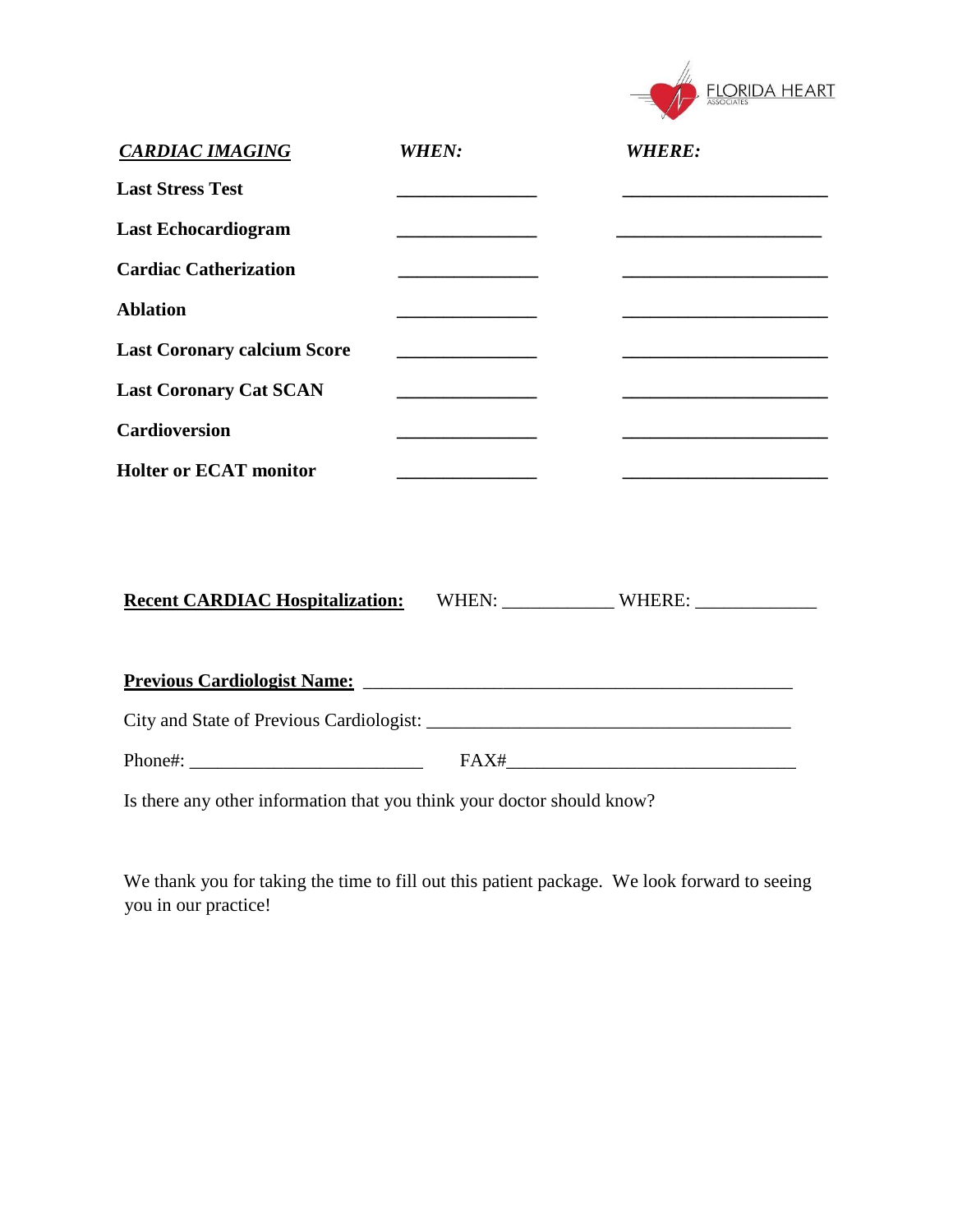|                                                           |                                              | <b>FLORIDA HEART</b>                                                       |
|-----------------------------------------------------------|----------------------------------------------|----------------------------------------------------------------------------|
| <b>CARDIAC IMAGING</b>                                    | <b>WHEN:</b>                                 | <b>WHERE:</b>                                                              |
| <b>Last Stress Test</b>                                   |                                              |                                                                            |
| <b>Last Echocardiogram</b>                                |                                              |                                                                            |
| <b>Cardiac Catherization</b>                              | the control of the control of the control of |                                                                            |
| <b>Ablation</b>                                           |                                              |                                                                            |
| <b>Last Coronary calcium Score</b>                        | <u> 1989 - Johann Barbara, martin d</u>      | <u> 1980 - Johann John Stone, mars et al. (</u>                            |
| <b>Last Coronary Cat SCAN</b>                             |                                              |                                                                            |
| <b>Cardioversion</b>                                      | the control of the control of the control of | the control of the control of the control of the control of the control of |
| <b>Holter or ECAT monitor</b>                             |                                              |                                                                            |
| Recent CARDIAC Hospitalization: WHEN: WHEN: WHERE: WHERE: |                                              |                                                                            |
|                                                           |                                              |                                                                            |
|                                                           |                                              |                                                                            |
|                                                           |                                              |                                                                            |

Is there any other information that you think your doctor should know?

We thank you for taking the time to fill out this patient package. We look forward to seeing you in our practice!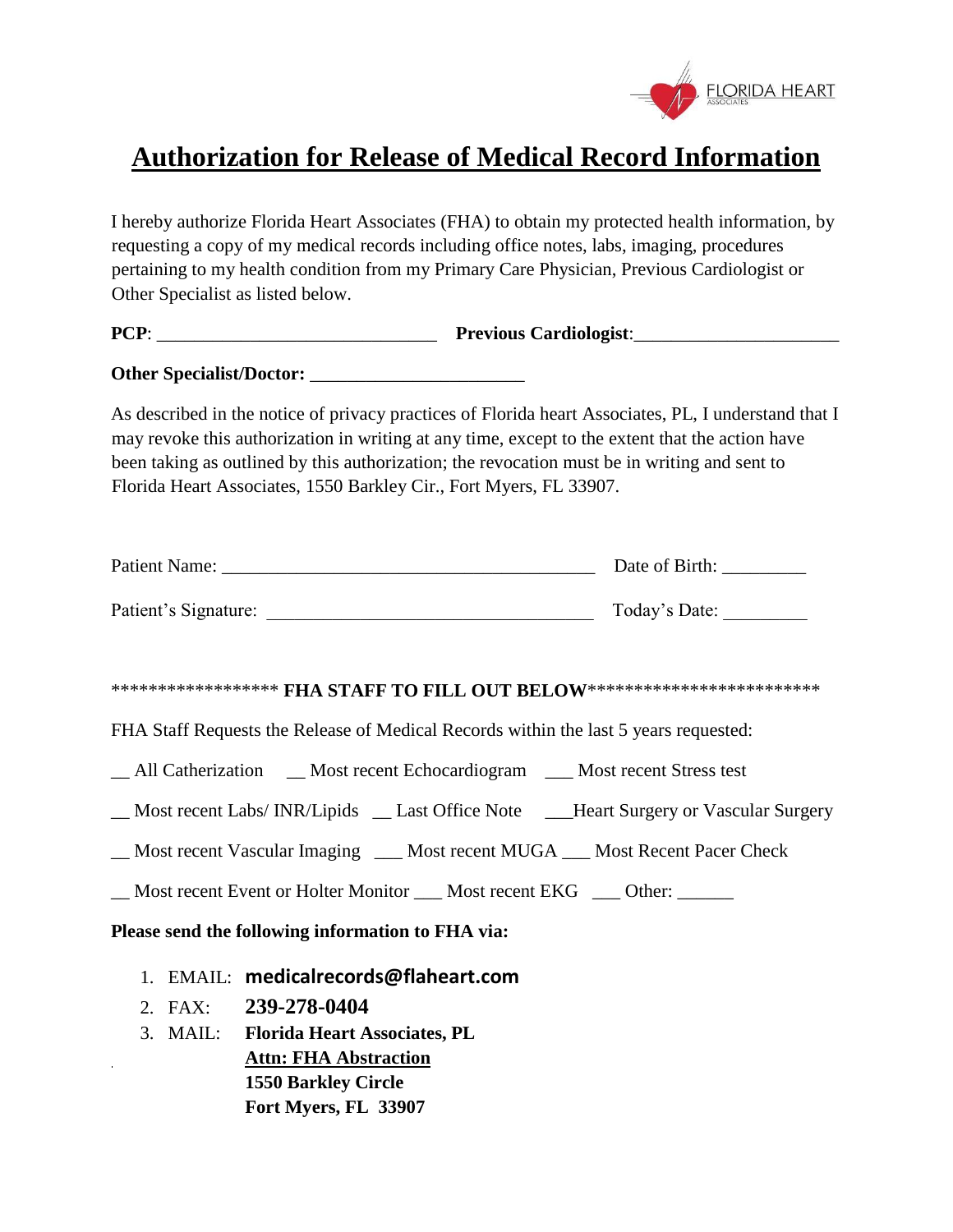

# **Authorization for Release of Medical Record Information**

I hereby authorize Florida Heart Associates (FHA) to obtain my protected health information, by requesting a copy of my medical records including office notes, labs, imaging, procedures pertaining to my health condition from my Primary Care Physician, Previous Cardiologist or Other Specialist as listed below.

**PCP**: \_\_\_\_\_\_\_\_\_\_\_\_\_\_\_\_\_\_\_\_\_\_\_\_\_\_\_\_\_\_ **Previous Cardiologist**:\_\_\_\_\_\_\_\_\_\_\_\_\_\_\_\_\_\_\_\_\_\_

**Other Specialist/Doctor:** \_\_\_\_\_\_\_\_\_\_\_\_\_\_\_\_\_\_\_\_\_\_\_

As described in the notice of privacy practices of Florida heart Associates, PL, I understand that I may revoke this authorization in writing at any time, except to the extent that the action have been taking as outlined by this authorization; the revocation must be in writing and sent to Florida Heart Associates, 1550 Barkley Cir., Fort Myers, FL 33907.

| <b>Patient Name:</b> | Date of Birth: |
|----------------------|----------------|
| Patient's Signature: | Today's Date:  |

#### \*\*\*\*\*\*\*\*\*\*\*\*\*\*\*\*\*\*\*\* **FHA STAFF TO FILL OUT BELOW**\*\*\*\*\*\*\*\*\*\*\*\*\*\*\*\*\*\*\*\*\*\*\*\*\*\*\*\*

FHA Staff Requests the Release of Medical Records within the last 5 years requested:

All Catherization Most recent Echocardiogram Most recent Stress test

- \_\_ Most recent Labs/ INR/Lipids \_\_ Last Office Note \_\_\_Heart Surgery or Vascular Surgery
- \_\_ Most recent Vascular Imaging \_\_\_ Most recent MUGA \_\_\_ Most Recent Pacer Check

Most recent Event or Holter Monitor \_\_\_ Most recent EKG \_\_\_ Other:

**Please send the following information to FHA via:** 

- 1. EMAIL: **medicalrecords@flaheart.com**
- 2. FAX: **239-278-0404**

 $\hat{\mathbf{r}}$ 

3. MAIL: **Florida Heart Associates, PL Attn: FHA Abstraction 1550 Barkley Circle Fort Myers, FL 33907**